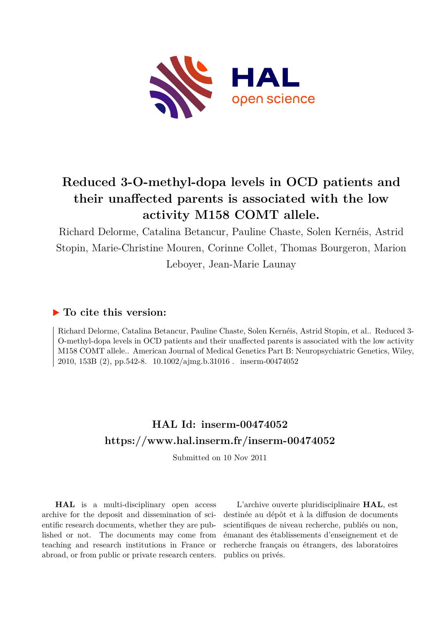

## **Reduced 3-O-methyl-dopa levels in OCD patients and their unaffected parents is associated with the low activity M158 COMT allele.**

Richard Delorme, Catalina Betancur, Pauline Chaste, Solen Kernéis, Astrid Stopin, Marie-Christine Mouren, Corinne Collet, Thomas Bourgeron, Marion Leboyer, Jean-Marie Launay

## **To cite this version:**

Richard Delorme, Catalina Betancur, Pauline Chaste, Solen Kernéis, Astrid Stopin, et al.. Reduced 3- O-methyl-dopa levels in OCD patients and their unaffected parents is associated with the low activity M158 COMT allele.. American Journal of Medical Genetics Part B: Neuropsychiatric Genetics, Wiley, 2010, 153B (2), pp.542-8.  $10.1002/a$  img.b.31016 . inserm-00474052

## **HAL Id: inserm-00474052 <https://www.hal.inserm.fr/inserm-00474052>**

Submitted on 10 Nov 2011

**HAL** is a multi-disciplinary open access archive for the deposit and dissemination of scientific research documents, whether they are published or not. The documents may come from teaching and research institutions in France or abroad, or from public or private research centers.

L'archive ouverte pluridisciplinaire **HAL**, est destinée au dépôt et à la diffusion de documents scientifiques de niveau recherche, publiés ou non, émanant des établissements d'enseignement et de recherche français ou étrangers, des laboratoires publics ou privés.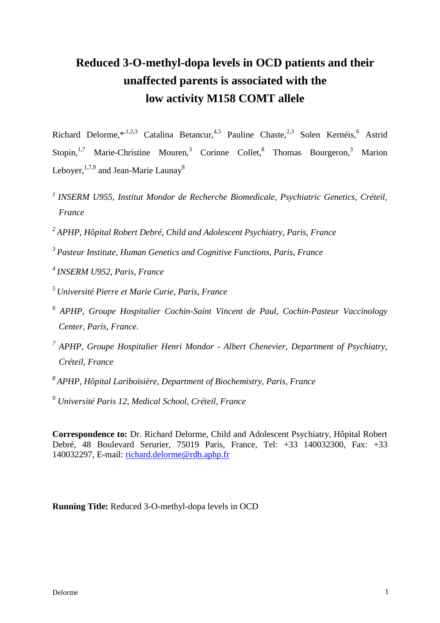# **Reduced 3-O-methyl-dopa levels in OCD patients and their unaffected parents is associated with the low activity M158 COMT allele**

Richard Delorme,\*,1,2,3 Catalina Betancur,4,5 Pauline Chaste,2,3 Solen Kernéis,<sup>6</sup> Astrid Stopin,<sup>1,7</sup> Marie-Christine Mouren,<sup>3</sup> Corinne Collet,<sup>8</sup> Thomas Bourgeron,<sup>3</sup> Marion Lebover,  $1,7,9$  and Jean-Marie Launav<sup>8</sup>

- *<sup>1</sup>INSERM U955, Institut Mondor de Recherche Biomedicale, Psychiatric Genetics, Créteil, France*
- *<sup>2</sup>APHP, Hôpital Robert Debré, Child and Adolescent Psychiatry, Paris, France*
- *<sup>3</sup>Pasteur Institute, Human Genetics and Cognitive Functions, Paris, France*
- *<sup>4</sup>INSERM U952, Paris, France*
- *<sup>5</sup>Université Pierre et Marie Curie, Paris, France*
- *6 APHP, Groupe Hospitalier Cochin-Saint Vincent de Paul, Cochin-Pasteur Vaccinology Center, Paris, France.*
- *7 APHP, Groupe Hospitalier Henri Mondor - Albert Chenevier, Department of Psychiatry, Créteil, France*
- *<sup>8</sup>APHP, Hôpital Lariboisière, Department of Biochemistry, Paris, France*
- *<sup>9</sup> Université Paris 12, Medical School, Créteil, France*

**Correspondence to:** Dr. Richard Delorme, Child and Adolescent Psychiatry, Hôpital Robert Debré, 48 Boulevard Serurier, 75019 Paris, France, Tel: +33 140032300, Fax: +33 140032297, E-mail: [richard.delorme@rdb.aphp.fr](mailto:richard.delorme@rdb.aphp.fr)

## **Running Title:** Reduced 3-O-methyl-dopa levels in OCD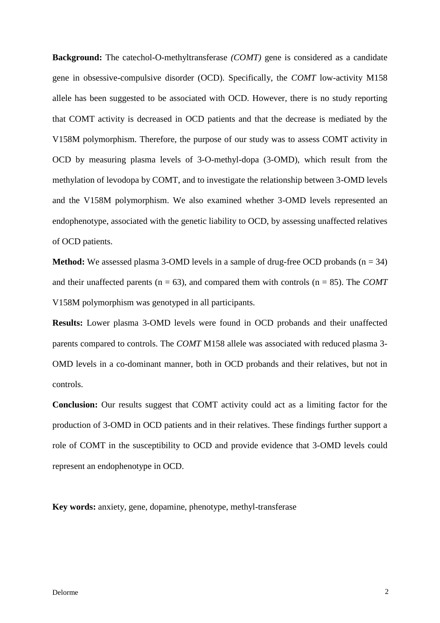**Background:** The catechol-O-methyltransferase *(COMT)* gene is considered as a candidate gene in obsessive-compulsive disorder (OCD). Specifically, the *COMT* low-activity M158 allele has been suggested to be associated with OCD. However, there is no study reporting that COMT activity is decreased in OCD patients and that the decrease is mediated by the V158M polymorphism. Therefore, the purpose of our study was to assess COMT activity in OCD by measuring plasma levels of 3-O-methyl-dopa (3-OMD), which result from the methylation of levodopa by COMT, and to investigate the relationship between 3-OMD levels and the V158M polymorphism. We also examined whether 3-OMD levels represented an endophenotype, associated with the genetic liability to OCD, by assessing unaffected relatives of OCD patients.

**Method:** We assessed plasma 3-OMD levels in a sample of drug-free OCD probands (n = 34) and their unaffected parents ( $n = 63$ ), and compared them with controls ( $n = 85$ ). The *COMT* V158M polymorphism was genotyped in all participants.

**Results:** Lower plasma 3-OMD levels were found in OCD probands and their unaffected parents compared to controls. The *COMT* M158 allele was associated with reduced plasma 3- OMD levels in a co-dominant manner, both in OCD probands and their relatives, but not in controls.

**Conclusion:** Our results suggest that COMT activity could act as a limiting factor for the production of 3-OMD in OCD patients and in their relatives. These findings further support a role of COMT in the susceptibility to OCD and provide evidence that 3-OMD levels could represent an endophenotype in OCD.

**Key words:** anxiety, gene, dopamine, phenotype, methyl-transferase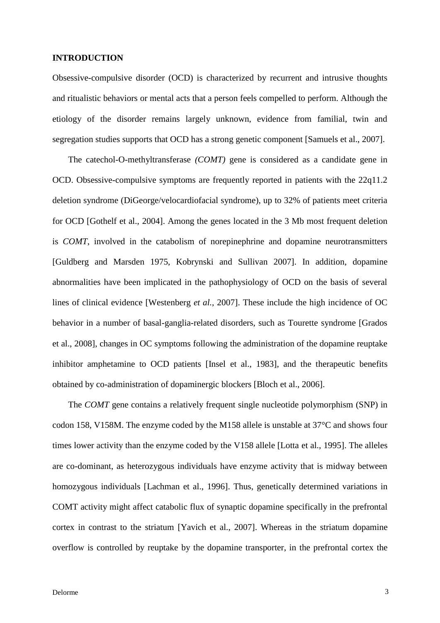#### **INTRODUCTION**

Obsessive-compulsive disorder (OCD) is characterized by recurrent and intrusive thoughts and ritualistic behaviors or mental acts that a person feels compelled to perform. Although the etiology of the disorder remains largely unknown, evidence from familial, twin and segregation studies supports that OCD has a strong genetic component [Samuels et al., 2007].

The catechol-O-methyltransferase *(COMT)* gene is considered as a candidate gene in OCD. Obsessive-compulsive symptoms are frequently reported in patients with the 22q11.2 deletion syndrome (DiGeorge/velocardiofacial syndrome), up to 32% of patients meet criteria for OCD [Gothelf et al., 2004]. Among the genes located in the 3 Mb most frequent deletion is *COMT*, involved in the catabolism of norepinephrine and dopamine neurotransmitters [Guldberg and Marsden 1975, Kobrynski and Sullivan 2007]. In addition, dopamine abnormalities have been implicated in the pathophysiology of OCD on the basis of several lines of clinical evidence [Westenberg *et al.,* 2007]. These include the high incidence of OC behavior in a number of basal-ganglia-related disorders, such as Tourette syndrome [Grados et al., 2008], changes in OC symptoms following the administration of the dopamine reuptake inhibitor amphetamine to OCD patients [Insel et al., 1983], and the therapeutic benefits obtained by co-administration of dopaminergic blockers [Bloch et al., 2006].

The *COMT* gene contains a relatively frequent single nucleotide polymorphism (SNP) in codon 158, V158M. The enzyme coded by the M158 allele is unstable at 37°C and shows four times lower activity than the enzyme coded by the V158 allele [Lotta et al., 1995]. The alleles are co-dominant, as heterozygous individuals have enzyme activity that is midway between homozygous individuals [Lachman et al., 1996]. Thus, genetically determined variations in COMT activity might affect catabolic flux of synaptic dopamine specifically in the prefrontal cortex in contrast to the striatum [Yavich et al., 2007]. Whereas in the striatum dopamine overflow is controlled by reuptake by the dopamine transporter, in the prefrontal cortex the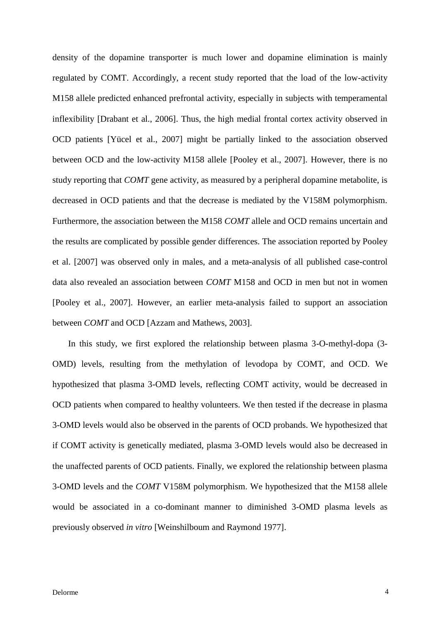density of the dopamine transporter is much lower and dopamine elimination is mainly regulated by COMT. Accordingly, a recent study reported that the load of the low-activity M158 allele predicted enhanced prefrontal activity, especially in subjects with temperamental inflexibility [Drabant et al., 2006]. Thus, the high medial frontal cortex activity observed in OCD patients [Yücel et al., 2007] might be partially linked to the association observed between OCD and the low-activity M158 allele [Pooley et al., 2007]. However, there is no study reporting that *COMT* gene activity, as measured by a peripheral dopamine metabolite, is decreased in OCD patients and that the decrease is mediated by the V158M polymorphism. Furthermore, the association between the M158 *COMT* allele and OCD remains uncertain and the results are complicated by possible gender differences. The association reported by Pooley et al. [2007] was observed only in males, and a meta-analysis of all published case-control data also revealed an association between *COMT* M158 and OCD in men but not in women [Pooley et al., 2007]. However, an earlier meta-analysis failed to support an association between *COMT* and OCD [Azzam and Mathews, 2003].

In this study, we first explored the relationship between plasma 3-O-methyl-dopa (3- OMD) levels, resulting from the methylation of levodopa by COMT, and OCD. We hypothesized that plasma 3-OMD levels, reflecting COMT activity, would be decreased in OCD patients when compared to healthy volunteers. We then tested if the decrease in plasma 3-OMD levels would also be observed in the parents of OCD probands. We hypothesized that if COMT activity is genetically mediated, plasma 3-OMD levels would also be decreased in the unaffected parents of OCD patients. Finally, we explored the relationship between plasma 3-OMD levels and the *COMT* V158M polymorphism. We hypothesized that the M158 allele would be associated in a co-dominant manner to diminished 3-OMD plasma levels as previously observed *in vitro* [Weinshilboum and Raymond 1977].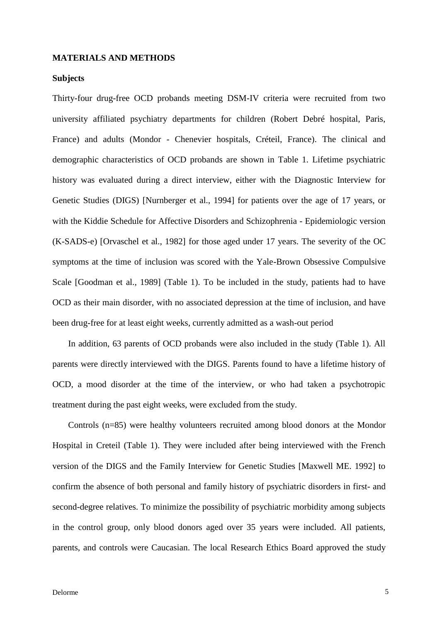#### **MATERIALS AND METHODS**

#### **Subjects**

Thirty-four drug-free OCD probands meeting DSM-IV criteria were recruited from two university affiliated psychiatry departments for children (Robert Debré hospital, Paris, France) and adults (Mondor - Chenevier hospitals, Créteil, France). The clinical and demographic characteristics of OCD probands are shown in Table 1. Lifetime psychiatric history was evaluated during a direct interview, either with the Diagnostic Interview for Genetic Studies (DIGS) [Nurnberger et al., 1994] for patients over the age of 17 years, or with the Kiddie Schedule for Affective Disorders and Schizophrenia - Epidemiologic version (K-SADS-e) [Orvaschel et al., 1982] for those aged under 17 years. The severity of the OC symptoms at the time of inclusion was scored with the Yale-Brown Obsessive Compulsive Scale [Goodman et al., 1989] (Table 1). To be included in the study, patients had to have OCD as their main disorder, with no associated depression at the time of inclusion, and have been drug-free for at least eight weeks, currently admitted as a wash-out period

In addition, 63 parents of OCD probands were also included in the study (Table 1). All parents were directly interviewed with the DIGS. Parents found to have a lifetime history of OCD, a mood disorder at the time of the interview, or who had taken a psychotropic treatment during the past eight weeks, were excluded from the study.

Controls (n=85) were healthy volunteers recruited among blood donors at the Mondor Hospital in Creteil (Table 1). They were included after being interviewed with the French version of the DIGS and the Family Interview for Genetic Studies [Maxwell ME. 1992] to confirm the absence of both personal and family history of psychiatric disorders in first- and second-degree relatives. To minimize the possibility of psychiatric morbidity among subjects in the control group, only blood donors aged over 35 years were included. All patients, parents, and controls were Caucasian. The local Research Ethics Board approved the study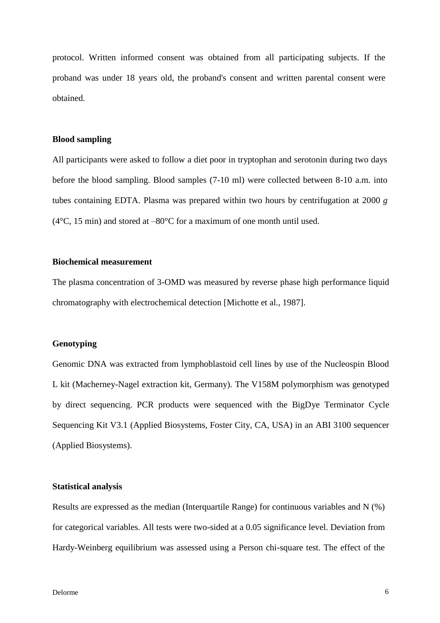protocol. Written informed consent was obtained from all participating subjects. If the proband was under 18 years old, the proband's consent and written parental consent were obtained.

#### **Blood sampling**

All participants were asked to follow a diet poor in tryptophan and serotonin during two days before the blood sampling. Blood samples (7-10 ml) were collected between 8-10 a.m. into tubes containing EDTA. Plasma was prepared within two hours by centrifugation at 2000 *g* ( $4^{\circ}$ C, 15 min) and stored at  $-80^{\circ}$ C for a maximum of one month until used.

#### **Biochemical measurement**

The plasma concentration of 3-OMD was measured by reverse phase high performance liquid chromatography with electrochemical detection [Michotte et al., 1987].

#### **Genotyping**

Genomic DNA was extracted from lymphoblastoid cell lines by use of the Nucleospin Blood L kit (Macherney-Nagel extraction kit, Germany). The V158M polymorphism was genotyped by direct sequencing. PCR products were sequenced with the BigDye Terminator Cycle Sequencing Kit V3.1 (Applied Biosystems, Foster City, CA, USA) in an ABI 3100 sequencer (Applied Biosystems).

#### **Statistical analysis**

Results are expressed as the median (Interquartile Range) for continuous variables and N (%) for categorical variables. All tests were two-sided at a 0.05 significance level. Deviation from Hardy-Weinberg equilibrium was assessed using a Person chi-square test. The effect of the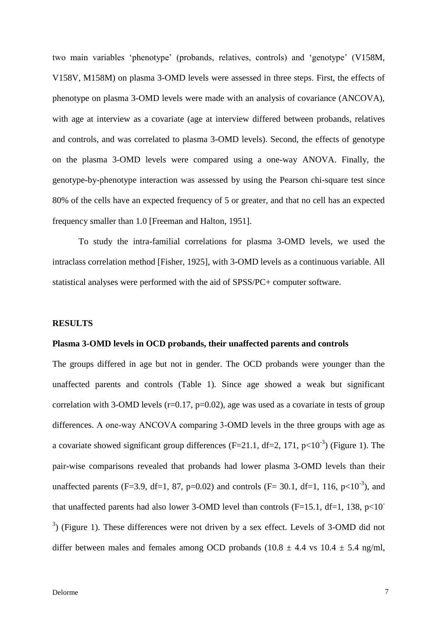two main variables 'phenotype' (probands, relatives, controls) and 'genotype' (V158M, V158V, M158M) on plasma 3-OMD levels were assessed in three steps. First, the effects of phenotype on plasma 3-OMD levels were made with an analysis of covariance (ANCOVA), with age at interview as a covariate (age at interview differed between probands, relatives and controls, and was correlated to plasma 3-OMD levels). Second, the effects of genotype on the plasma 3-OMD levels were compared using a one-way ANOVA. Finally, the genotype-by-phenotype interaction was assessed by using the Pearson chi-square test since 80% of the cells have an expected frequency of 5 or greater, and that no cell has an expected frequency smaller than 1.0 [Freeman and Halton, 1951].

To study the intra-familial correlations for plasma 3-OMD levels, we used the intraclass correlation method [Fisher, 1925], with 3-OMD levels as a continuous variable. All statistical analyses were performed with the aid of SPSS/PC+ computer software.

#### **RESULTS**

#### **Plasma 3-OMD levels in OCD probands, their unaffected parents and controls**

The groups differed in age but not in gender. The OCD probands were younger than the unaffected parents and controls (Table 1). Since age showed a weak but significant correlation with 3-OMD levels ( $r=0.17$ ,  $p=0.02$ ), age was used as a covariate in tests of group differences. A one-way ANCOVA comparing 3-OMD levels in the three groups with age as a covariate showed significant group differences (F=21.1, df=2, 171,  $p<10^{-3}$ ) (Figure 1). The pair-wise comparisons revealed that probands had lower plasma 3-OMD levels than their unaffected parents (F=3.9, df=1, 87, p=0.02) and controls (F= 30.1, df=1, 116, p<10<sup>-3</sup>), and that unaffected parents had also lower 3-OMD level than controls (F=15.1, df=1, 138,  $p<10^-$ )  $3)$  (Figure 1). These differences were not driven by a sex effect. Levels of 3-OMD did not differ between males and females among OCD probands (10.8  $\pm$  4.4 vs 10.4  $\pm$  5.4 ng/ml,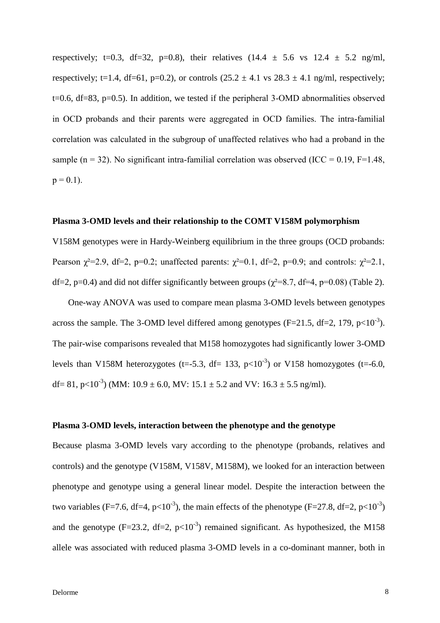respectively; t=0.3, df=32, p=0.8), their relatives  $(14.4 \pm 5.6 \text{ vs } 12.4 \pm 5.2 \text{ ng/ml})$ , respectively; t=1.4, df=61, p=0.2), or controls  $(25.2 \pm 4.1 \text{ vs } 28.3 \pm 4.1 \text{ ng/ml},$  respectively; t=0.6, df=83, p=0.5). In addition, we tested if the peripheral 3-OMD abnormalities observed in OCD probands and their parents were aggregated in OCD families. The intra-familial correlation was calculated in the subgroup of unaffected relatives who had a proband in the sample (n = 32). No significant intra-familial correlation was observed (ICC =  $0.19$ , F=1.48,  $p = 0.1$ ).

#### **Plasma 3-OMD levels and their relationship to the COMT V158M polymorphism**

V158M genotypes were in Hardy-Weinberg equilibrium in the three groups (OCD probands: Pearson  $\chi^2$ =2.9, df=2, p=0.2; unaffected parents:  $\chi^2$ =0.1, df=2, p=0.9; and controls:  $\chi^2$ =2.1, df=2, p=0.4) and did not differ significantly between groups ( $\gamma^2$ =8.7, df=4, p=0.08) (Table 2).

One-way ANOVA was used to compare mean plasma 3-OMD levels between genotypes across the sample. The 3-OMD level differed among genotypes (F=21.5, df=2, 179,  $p<10^{-3}$ ). The pair-wise comparisons revealed that M158 homozygotes had significantly lower 3-OMD levels than V158M heterozygotes (t=-5.3, df= 133,  $p<10^{-3}$ ) or V158 homozygotes (t=-6.0, df = 81, p<10<sup>-3</sup>) (MM: 10.9  $\pm$  6.0, MV: 15.1  $\pm$  5.2 and VV: 16.3  $\pm$  5.5 ng/ml).

#### **Plasma 3-OMD levels, interaction between the phenotype and the genotype**

Because plasma 3-OMD levels vary according to the phenotype (probands, relatives and controls) and the genotype (V158M, V158V, M158M), we looked for an interaction between phenotype and genotype using a general linear model. Despite the interaction between the two variables (F=7.6, df=4, p<10<sup>-3</sup>), the main effects of the phenotype (F=27.8, df=2, p<10<sup>-3</sup>) and the genotype (F=23.2, df=2,  $p<10^{-3}$ ) remained significant. As hypothesized, the M158 allele was associated with reduced plasma 3-OMD levels in a co-dominant manner, both in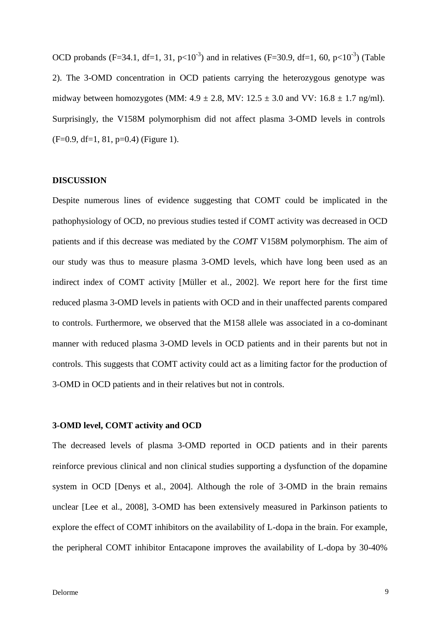OCD probands (F=34.1, df=1, 31, p<10<sup>-3</sup>) and in relatives (F=30.9, df=1, 60, p<10<sup>-3</sup>) (Table 2). The 3-OMD concentration in OCD patients carrying the heterozygous genotype was midway between homozygotes (MM:  $4.9 \pm 2.8$ , MV:  $12.5 \pm 3.0$  and VV:  $16.8 \pm 1.7$  ng/ml). Surprisingly, the V158M polymorphism did not affect plasma 3-OMD levels in controls  $(F=0.9, df=1, 81, p=0.4)$  (Figure 1).

#### **DISCUSSION**

Despite numerous lines of evidence suggesting that COMT could be implicated in the pathophysiology of OCD, no previous studies tested if COMT activity was decreased in OCD patients and if this decrease was mediated by the *COMT* V158M polymorphism. The aim of our study was thus to measure plasma 3-OMD levels, which have long been used as an indirect index of COMT activity [Müller et al., 2002]. We report here for the first time reduced plasma 3-OMD levels in patients with OCD and in their unaffected parents compared to controls. Furthermore, we observed that the M158 allele was associated in a co-dominant manner with reduced plasma 3-OMD levels in OCD patients and in their parents but not in controls. This suggests that COMT activity could act as a limiting factor for the production of 3-OMD in OCD patients and in their relatives but not in controls.

#### **3-OMD level, COMT activity and OCD**

The decreased levels of plasma 3-OMD reported in OCD patients and in their parents reinforce previous clinical and non clinical studies supporting a dysfunction of the dopamine system in OCD [Denys et al., 2004]. Although the role of 3-OMD in the brain remains unclear [Lee et al., 2008], 3-OMD has been extensively measured in Parkinson patients to explore the effect of COMT inhibitors on the availability of L-dopa in the brain. For example, the peripheral COMT inhibitor Entacapone improves the availability of L-dopa by 30-40%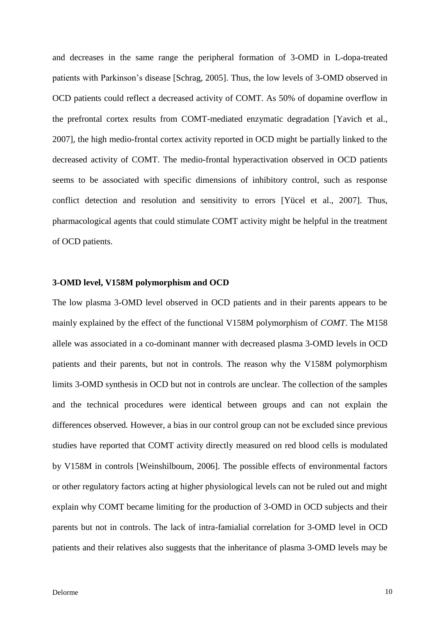and decreases in the same range the peripheral formation of 3-OMD in L-dopa-treated patients with Parkinson's disease [Schrag, 2005]. Thus, the low levels of 3-OMD observed in OCD patients could reflect a decreased activity of COMT. As 50% of dopamine overflow in the prefrontal cortex results from COMT-mediated enzymatic degradation [Yavich et al., 2007], the high medio-frontal cortex activity reported in OCD might be partially linked to the decreased activity of COMT. The medio-frontal hyperactivation observed in OCD patients seems to be associated with specific dimensions of inhibitory control, such as response conflict detection and resolution and sensitivity to errors [Yücel et al., 2007]. Thus, pharmacological agents that could stimulate COMT activity might be helpful in the treatment of OCD patients.

#### **3-OMD level, V158M polymorphism and OCD**

The low plasma 3-OMD level observed in OCD patients and in their parents appears to be mainly explained by the effect of the functional V158M polymorphism of *COMT*. The M158 allele was associated in a co-dominant manner with decreased plasma 3-OMD levels in OCD patients and their parents, but not in controls. The reason why the V158M polymorphism limits 3-OMD synthesis in OCD but not in controls are unclear. The collection of the samples and the technical procedures were identical between groups and can not explain the differences observed*.* However, a bias in our control group can not be excluded since previous studies have reported that COMT activity directly measured on red blood cells is modulated by V158M in controls [Weinshilboum, 2006]. The possible effects of environmental factors or other regulatory factors acting at higher physiological levels can not be ruled out and might explain why COMT became limiting for the production of 3-OMD in OCD subjects and their parents but not in controls. The lack of intra-famialial correlation for 3-OMD level in OCD patients and their relatives also suggests that the inheritance of plasma 3-OMD levels may be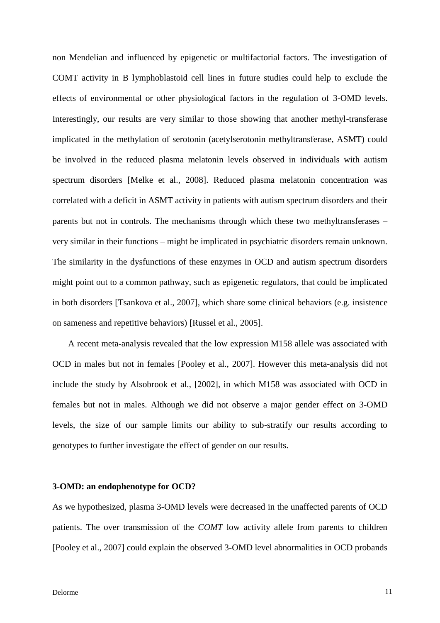non Mendelian and influenced by epigenetic or multifactorial factors. The investigation of COMT activity in B lymphoblastoid cell lines in future studies could help to exclude the effects of environmental or other physiological factors in the regulation of 3-OMD levels. Interestingly, our results are very similar to those showing that another methyl-transferase implicated in the methylation of serotonin (acetylserotonin methyltransferase, ASMT) could be involved in the reduced plasma melatonin levels observed in individuals with autism spectrum disorders [Melke et al., 2008]. Reduced plasma melatonin concentration was correlated with a deficit in ASMT activity in patients with autism spectrum disorders and their parents but not in controls. The mechanisms through which these two methyltransferases – very similar in their functions – might be implicated in psychiatric disorders remain unknown. The similarity in the dysfunctions of these enzymes in OCD and autism spectrum disorders might point out to a common pathway, such as epigenetic regulators, that could be implicated in both disorders [Tsankova et al., 2007], which share some clinical behaviors (e.g. insistence on sameness and repetitive behaviors) [Russel et al., 2005].

A recent meta-analysis revealed that the low expression M158 allele was associated with OCD in males but not in females [Pooley et al., 2007]. However this meta-analysis did not include the study by Alsobrook et al., [2002], in which M158 was associated with OCD in females but not in males. Although we did not observe a major gender effect on 3-OMD levels, the size of our sample limits our ability to sub-stratify our results according to genotypes to further investigate the effect of gender on our results.

#### **3-OMD: an endophenotype for OCD?**

As we hypothesized, plasma 3-OMD levels were decreased in the unaffected parents of OCD patients. The over transmission of the *COMT* low activity allele from parents to children [Pooley et al., 2007] could explain the observed 3-OMD level abnormalities in OCD probands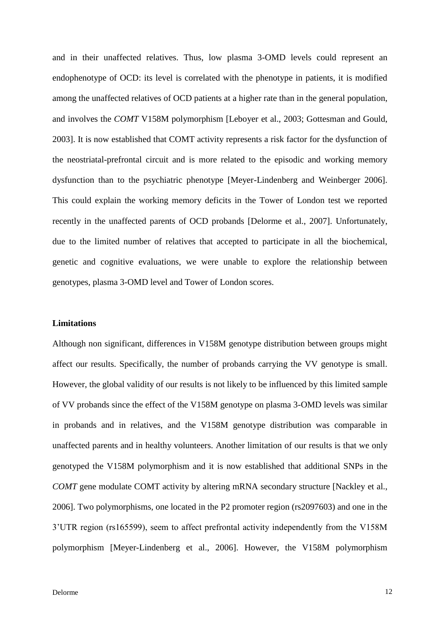and in their unaffected relatives. Thus, low plasma 3-OMD levels could represent an endophenotype of OCD: its level is correlated with the phenotype in patients, it is modified among the unaffected relatives of OCD patients at a higher rate than in the general population, and involves the *COMT* V158M polymorphism [Leboyer et al., 2003; Gottesman and Gould, 2003]. It is now established that COMT activity represents a risk factor for the dysfunction of the neostriatal-prefrontal circuit and is more related to the episodic and working memory dysfunction than to the psychiatric phenotype [Meyer-Lindenberg and Weinberger 2006]. This could explain the working memory deficits in the Tower of London test we reported recently in the unaffected parents of OCD probands [Delorme et al., 2007]. Unfortunately, due to the limited number of relatives that accepted to participate in all the biochemical, genetic and cognitive evaluations, we were unable to explore the relationship between genotypes, plasma 3-OMD level and Tower of London scores.

#### **Limitations**

Although non significant, differences in V158M genotype distribution between groups might affect our results. Specifically, the number of probands carrying the VV genotype is small. However, the global validity of our results is not likely to be influenced by this limited sample of VV probands since the effect of the V158M genotype on plasma 3-OMD levels was similar in probands and in relatives, and the V158M genotype distribution was comparable in unaffected parents and in healthy volunteers. Another limitation of our results is that we only genotyped the V158M polymorphism and it is now established that additional SNPs in the *COMT* gene modulate COMT activity by altering mRNA secondary structure [Nackley et al., 2006]. Two polymorphisms, one located in the P2 promoter region (rs2097603) and one in the 3'UTR region (rs165599), seem to affect prefrontal activity independently from the V158M polymorphism [Meyer-Lindenberg et al., 2006]. However, the V158M polymorphism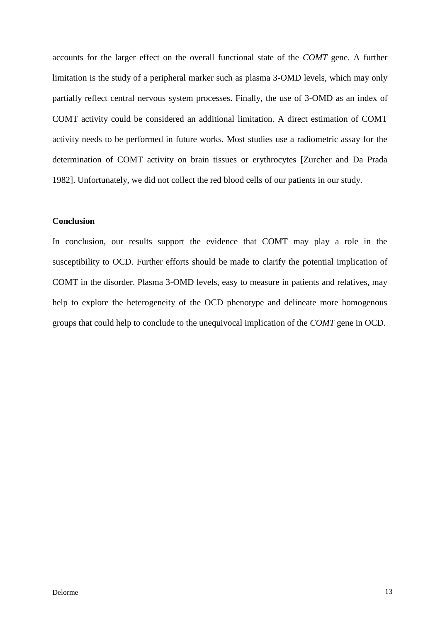accounts for the larger effect on the overall functional state of the *COMT* gene. A further limitation is the study of a peripheral marker such as plasma 3-OMD levels, which may only partially reflect central nervous system processes. Finally, the use of 3-OMD as an index of COMT activity could be considered an additional limitation. A direct estimation of COMT activity needs to be performed in future works. Most studies use a radiometric assay for the determination of COMT activity on brain tissues or erythrocytes [Zurcher and Da Prada 1982]. Unfortunately, we did not collect the red blood cells of our patients in our study.

### **Conclusion**

In conclusion, our results support the evidence that COMT may play a role in the susceptibility to OCD. Further efforts should be made to clarify the potential implication of COMT in the disorder. Plasma 3-OMD levels, easy to measure in patients and relatives, may help to explore the heterogeneity of the OCD phenotype and delineate more homogenous groups that could help to conclude to the unequivocal implication of the *COMT* gene in OCD.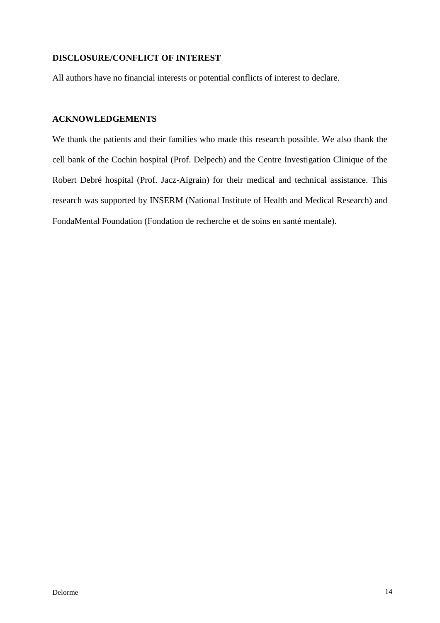## **DISCLOSURE/CONFLICT OF INTEREST**

All authors have no financial interests or potential conflicts of interest to declare.

## **ACKNOWLEDGEMENTS**

We thank the patients and their families who made this research possible. We also thank the cell bank of the Cochin hospital (Prof. Delpech) and the Centre Investigation Clinique of the Robert Debré hospital (Prof. Jacz-Aigrain) for their medical and technical assistance. This research was supported by INSERM (National Institute of Health and Medical Research) and FondaMental Foundation (Fondation de recherche et de soins en santé mentale).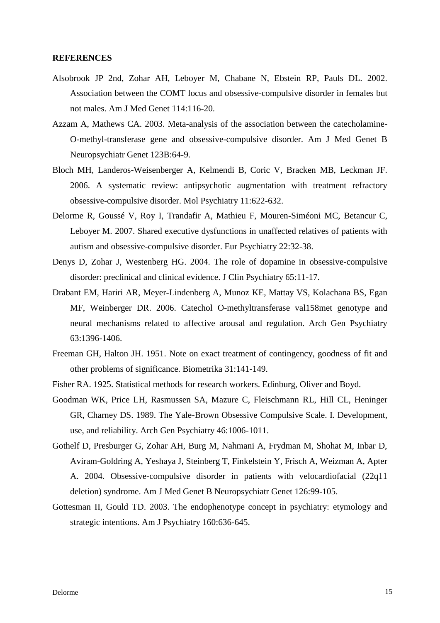#### **REFERENCES**

- Alsobrook JP 2nd, Zohar AH, Leboyer M, Chabane N, Ebstein RP, Pauls DL. 2002. Association between the COMT locus and obsessive-compulsive disorder in females but not males. Am J Med Genet 114:116-20.
- Azzam A, Mathews CA. 2003. Meta-analysis of the association between the catecholamine-O-methyl-transferase gene and obsessive-compulsive disorder. Am J Med Genet B Neuropsychiatr Genet 123B:64-9.
- Bloch MH, Landeros-Weisenberger A, Kelmendi B, Coric V, Bracken MB, Leckman JF. 2006. A systematic review: antipsychotic augmentation with treatment refractory obsessive-compulsive disorder. Mol Psychiatry 11:622-632.
- Delorme R, Goussé V, Roy I, Trandafir A, Mathieu F, Mouren-Siméoni MC, Betancur C, Leboyer M. 2007. Shared executive dysfunctions in unaffected relatives of patients with autism and obsessive-compulsive disorder. Eur Psychiatry 22:32-38.
- Denys D, Zohar J, Westenberg HG. 2004. The role of dopamine in obsessive-compulsive disorder: preclinical and clinical evidence. J Clin Psychiatry 65:11-17.
- Drabant EM, Hariri AR, Meyer-Lindenberg A, Munoz KE, Mattay VS, Kolachana BS, Egan MF, Weinberger DR. 2006. Catechol O-methyltransferase val158met genotype and neural mechanisms related to affective arousal and regulation. Arch Gen Psychiatry 63:1396-1406.
- Freeman GH, Halton JH. 1951. Note on exact treatment of contingency, goodness of fit and other problems of significance. Biometrika 31:141-149.
- Fisher RA. 1925. Statistical methods for research workers. Edinburg, Oliver and Boyd.
- Goodman WK, Price LH, Rasmussen SA, Mazure C, Fleischmann RL, Hill CL, Heninger GR, Charney DS. 1989. The Yale-Brown Obsessive Compulsive Scale. I. Development, use, and reliability. Arch Gen Psychiatry 46:1006-1011.
- Gothelf D, Presburger G, Zohar AH, Burg M, Nahmani A, Frydman M, Shohat M, Inbar D, Aviram-Goldring A, Yeshaya J, Steinberg T, Finkelstein Y, Frisch A, Weizman A, Apter A. 2004. Obsessive-compulsive disorder in patients with velocardiofacial (22q11 deletion) syndrome. Am J Med Genet B Neuropsychiatr Genet 126:99-105.
- Gottesman II, Gould TD. 2003. The endophenotype concept in psychiatry: etymology and strategic intentions. Am J Psychiatry 160:636-645.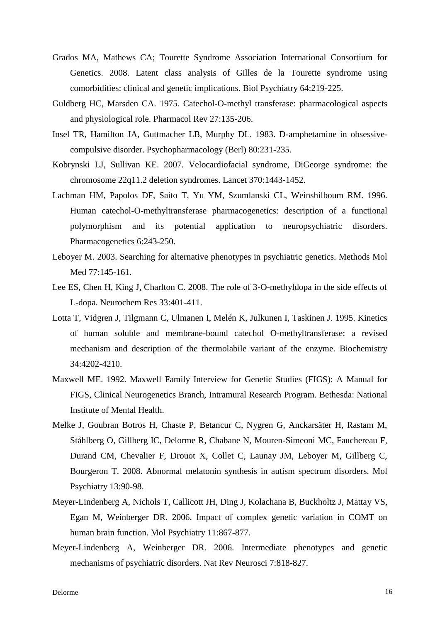- Grados MA, Mathews CA; Tourette Syndrome Association International Consortium for Genetics. 2008. Latent class analysis of Gilles de la Tourette syndrome using comorbidities: clinical and genetic implications. Biol Psychiatry 64:219-225.
- Guldberg HC, Marsden CA. 1975. Catechol-O-methyl transferase: pharmacological aspects and physiological role. Pharmacol Rev 27:135-206.
- Insel TR, Hamilton JA, Guttmacher LB, Murphy DL. 1983. D-amphetamine in obsessivecompulsive disorder. Psychopharmacology (Berl) 80:231-235.
- Kobrynski LJ, Sullivan KE. 2007. Velocardiofacial syndrome, DiGeorge syndrome: the chromosome 22q11.2 deletion syndromes. Lancet 370:1443-1452.
- Lachman HM, Papolos DF, Saito T, Yu YM, Szumlanski CL, Weinshilboum RM. 1996. Human catechol-O-methyltransferase pharmacogenetics: description of a functional polymorphism and its potential application to neuropsychiatric disorders. Pharmacogenetics 6:243-250.
- Leboyer M. 2003. Searching for alternative phenotypes in psychiatric genetics. Methods Mol Med 77:145-161.
- Lee ES, Chen H, King J, Charlton C. 2008. The role of 3-O-methyldopa in the side effects of L-dopa. Neurochem Res 33:401-411.
- Lotta T, Vidgren J, Tilgmann C, Ulmanen I, Melén K, Julkunen I, Taskinen J. 1995. Kinetics of human soluble and membrane-bound catechol O-methyltransferase: a revised mechanism and description of the thermolabile variant of the enzyme. Biochemistry 34:4202-4210.
- Maxwell ME. 1992. Maxwell Family Interview for Genetic Studies (FIGS): A Manual for FIGS, Clinical Neurogenetics Branch, Intramural Research Program. Bethesda: National Institute of Mental Health.
- Melke J, Goubran Botros H, Chaste P, Betancur C, Nygren G, Anckarsäter H, Rastam M, Ståhlberg O, Gillberg IC, Delorme R, Chabane N, Mouren-Simeoni MC, Fauchereau F, Durand CM, Chevalier F, Drouot X, Collet C, Launay JM, Leboyer M, Gillberg C, Bourgeron T. 2008. Abnormal melatonin synthesis in autism spectrum disorders. Mol Psychiatry 13:90-98.
- Meyer-Lindenberg A, Nichols T, Callicott JH, Ding J, Kolachana B, Buckholtz J, Mattay VS, Egan M, Weinberger DR. 2006. Impact of complex genetic variation in COMT on human brain function. Mol Psychiatry 11:867-877.
- Meyer-Lindenberg A, Weinberger DR. 2006. Intermediate phenotypes and genetic mechanisms of psychiatric disorders. Nat Rev Neurosci 7:818-827.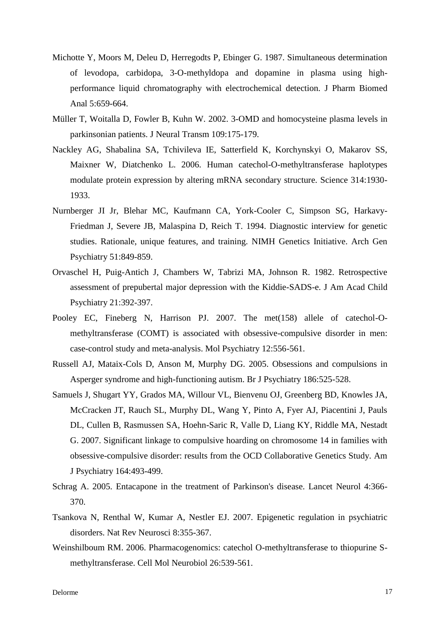- Michotte Y, Moors M, Deleu D, Herregodts P, Ebinger G. 1987. Simultaneous determination of levodopa, carbidopa, 3-O-methyldopa and dopamine in plasma using highperformance liquid chromatography with electrochemical detection. J Pharm Biomed Anal 5:659-664.
- Müller T, Woitalla D, Fowler B, Kuhn W. 2002. 3-OMD and homocysteine plasma levels in parkinsonian patients. J Neural Transm 109:175-179.
- Nackley AG, Shabalina SA, Tchivileva IE, Satterfield K, Korchynskyi O, Makarov SS, Maixner W, Diatchenko L. 2006. Human catechol-O-methyltransferase haplotypes modulate protein expression by altering mRNA secondary structure. Science 314:1930- 1933.
- Nurnberger JI Jr, Blehar MC, Kaufmann CA, York-Cooler C, Simpson SG, Harkavy-Friedman J, Severe JB, Malaspina D, Reich T. 1994. Diagnostic interview for genetic studies. Rationale, unique features, and training. NIMH Genetics Initiative. Arch Gen Psychiatry 51:849-859.
- Orvaschel H, Puig-Antich J, Chambers W, Tabrizi MA, Johnson R. 1982. Retrospective assessment of prepubertal major depression with the Kiddie-SADS-e. J Am Acad Child Psychiatry 21:392-397.
- Pooley EC, Fineberg N, Harrison PJ. 2007. The met(158) allele of catechol-Omethyltransferase (COMT) is associated with obsessive-compulsive disorder in men: case-control study and meta-analysis. Mol Psychiatry 12:556-561.
- Russell AJ, Mataix-Cols D, Anson M, Murphy DG. 2005. Obsessions and compulsions in Asperger syndrome and high-functioning autism. Br J Psychiatry 186:525-528.
- Samuels J, Shugart YY, Grados MA, Willour VL, Bienvenu OJ, Greenberg BD, Knowles JA, McCracken JT, Rauch SL, Murphy DL, Wang Y, Pinto A, Fyer AJ, Piacentini J, Pauls DL, Cullen B, Rasmussen SA, Hoehn-Saric R, Valle D, Liang KY, Riddle MA, Nestadt G. 2007. Significant linkage to compulsive hoarding on chromosome 14 in families with obsessive-compulsive disorder: results from the OCD Collaborative Genetics Study. Am J Psychiatry 164:493-499.
- Schrag A. 2005. Entacapone in the treatment of Parkinson's disease. Lancet Neurol 4:366- 370.
- Tsankova N, Renthal W, Kumar A, Nestler EJ. 2007. Epigenetic regulation in psychiatric disorders. Nat Rev Neurosci 8:355-367.
- Weinshilboum RM. 2006. Pharmacogenomics: catechol O-methyltransferase to thiopurine Smethyltransferase. Cell Mol Neurobiol 26:539-561.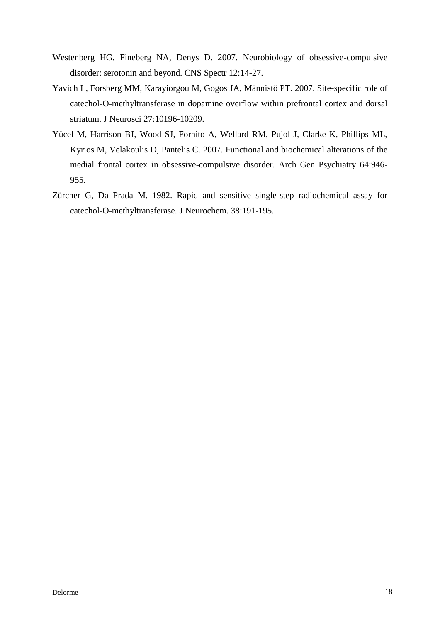- Westenberg HG, Fineberg NA, Denys D. 2007. Neurobiology of obsessive-compulsive disorder: serotonin and beyond. CNS Spectr 12:14-27.
- Yavich L, Forsberg MM, Karayiorgou M, Gogos JA, Männistö PT. 2007. Site-specific role of catechol-O-methyltransferase in dopamine overflow within prefrontal cortex and dorsal striatum. J Neurosci 27:10196-10209.
- Yücel M, Harrison BJ, Wood SJ, Fornito A, Wellard RM, Pujol J, Clarke K, Phillips ML, Kyrios M, Velakoulis D, Pantelis C. 2007. Functional and biochemical alterations of the medial frontal cortex in obsessive-compulsive disorder. Arch Gen Psychiatry 64:946- 955.
- Zürcher G, Da Prada M. 1982. Rapid and sensitive single-step radiochemical assay for catechol-O-methyltransferase. J Neurochem. 38:191-195.